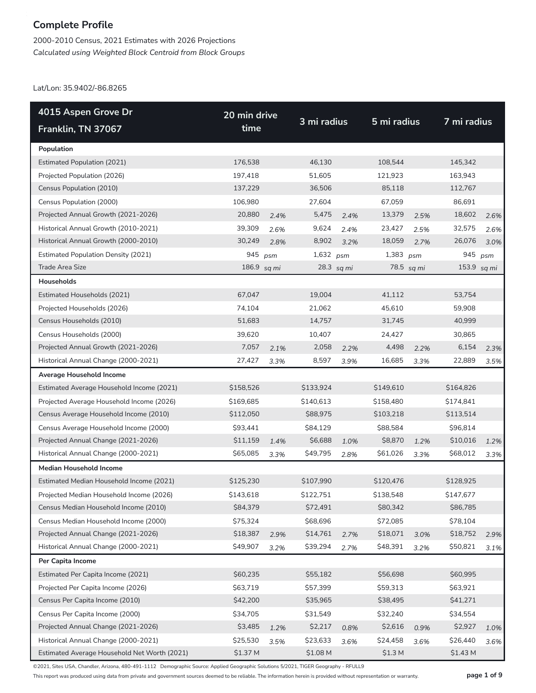2000-2010 Census, 2021 Estimates with 2026 Projections *Calculated using Weighted Block Centroid from Block Groups*

Lat/Lon: 35.9402/-86.8265

| 4015 Aspen Grove Dr                          | 20 min drive |      |             |            |                    |            |             |      |  |
|----------------------------------------------|--------------|------|-------------|------------|--------------------|------------|-------------|------|--|
| Franklin, TN 37067                           | time         |      | 3 mi radius |            | 5 mi radius        |            | 7 mi radius |      |  |
| Population                                   |              |      |             |            |                    |            |             |      |  |
| <b>Estimated Population (2021)</b>           | 176,538      |      | 46,130      |            | 108,544            |            | 145,342     |      |  |
| Projected Population (2026)                  | 197,418      |      | 51,605      |            | 121,923            |            | 163,943     |      |  |
| Census Population (2010)                     | 137,229      |      | 36,506      |            | 85,118             |            | 112,767     |      |  |
| Census Population (2000)                     | 106,980      |      | 27,604      |            | 67,059             |            | 86,691      |      |  |
| Projected Annual Growth (2021-2026)          | 20,880       | 2.4% | 5,475       | 2.4%       | 13,379             | 2.5%       | 18,602      | 2.6% |  |
| Historical Annual Growth (2010-2021)         | 39,309       | 2.6% | 9,624       | 2.4%       | 23,427             | 2.5%       | 32,575      | 2.6% |  |
| Historical Annual Growth (2000-2010)         | 30,249       | 2.8% | 8,902       | 3.2%       | 18,059             | 2.7%       | 26,076      | 3.0% |  |
| <b>Estimated Population Density (2021)</b>   | 945          | psm  | 1,632 psm   |            | 1,383 $psm$        |            | 945         | psm  |  |
| Trade Area Size                              | 186.9 sq mi  |      |             | 28.3 sq mi |                    | 78.5 sq mi | 153.9 sq mi |      |  |
| Households                                   |              |      |             |            |                    |            |             |      |  |
| Estimated Households (2021)                  | 67,047       |      | 19,004      |            | 41,112             |            | 53,754      |      |  |
| Projected Households (2026)                  | 74,104       |      | 21,062      |            | 45,610             |            | 59,908      |      |  |
| Census Households (2010)                     | 51,683       |      | 14,757      |            | 31,745             |            | 40,999      |      |  |
| Census Households (2000)                     | 39,620       |      | 10,407      |            | 24,427             |            | 30,865      |      |  |
| Projected Annual Growth (2021-2026)          | 7,057        | 2.1% | 2,058       | 2.2%       | 4,498              | 2.2%       | 6,154       | 2.3% |  |
| Historical Annual Change (2000-2021)         | 27,427       | 3.3% | 8,597       | 3.9%       | 16,685             | 3.3%       | 22,889      | 3.5% |  |
| Average Household Income                     |              |      |             |            |                    |            |             |      |  |
| Estimated Average Household Income (2021)    | \$158,526    |      | \$133,924   |            | \$149,610          |            | \$164,826   |      |  |
| Projected Average Household Income (2026)    | \$169,685    |      | \$140,613   |            | \$158,480          |            | \$174,841   |      |  |
| Census Average Household Income (2010)       | \$112,050    |      | \$88,975    |            | \$103,218          |            | \$113,514   |      |  |
| Census Average Household Income (2000)       | \$93,441     |      | \$84,129    |            | \$88,584           |            | \$96,814    |      |  |
| Projected Annual Change (2021-2026)          | \$11,159     | 1.4% | \$6,688     | 1.0%       | \$8,870            | 1.2%       | \$10,016    | 1.2% |  |
| Historical Annual Change (2000-2021)         | \$65,085     | 3.3% | \$49,795    | 2.8%       | \$61,026           | 3.3%       | \$68,012    | 3.3% |  |
| <b>Median Household Income</b>               |              |      |             |            |                    |            |             |      |  |
| Estimated Median Household Income (2021)     | \$125,230    |      | \$107,990   |            | \$120,476          |            | \$128,925   |      |  |
| Projected Median Household Income (2026)     | \$143,618    |      | \$122,751   |            | \$138,548          |            | \$147,677   |      |  |
| Census Median Household Income (2010)        | \$84,379     |      | \$72,491    |            | \$80,342           |            | \$86,785    |      |  |
| Census Median Household Income (2000)        | \$75,324     |      | \$68,696    |            | \$72,085           |            | \$78,104    |      |  |
| Projected Annual Change (2021-2026)          | \$18,387     | 2.9% | \$14,761    | 2.7%       | \$18,071           | 3.0%       | \$18,752    | 2.9% |  |
| Historical Annual Change (2000-2021)         | \$49,907     | 3.2% | \$39,294    | 2.7%       | \$48,391           | 3.2%       | \$50,821    | 3.1% |  |
| Per Capita Income                            |              |      |             |            |                    |            |             |      |  |
| Estimated Per Capita Income (2021)           | \$60,235     |      | \$55,182    |            | \$56,698           |            | \$60,995    |      |  |
| Projected Per Capita Income (2026)           | \$63,719     |      | \$57,399    |            | \$59,313           |            | \$63,921    |      |  |
| Census Per Capita Income (2010)              | \$42,200     |      | \$35,965    |            | \$38,495           |            | \$41,271    |      |  |
| Census Per Capita Income (2000)              | \$34,705     |      | \$31,549    |            | \$32,240           |            | \$34,554    |      |  |
| Projected Annual Change (2021-2026)          | \$3,485      | 1.2% | \$2,217     | 0.8%       | \$2,616            | 0.9%       | \$2,927     | 1.0% |  |
| Historical Annual Change (2000-2021)         | \$25,530     | 3.5% | \$23,633    | 3.6%       | \$24,458           | 3.6%       | \$26,440    | 3.6% |  |
| Estimated Average Household Net Worth (2021) | \$1.37 M     |      | \$1.08 M    |            | \$1.3 <sub>M</sub> |            | \$1.43 M    |      |  |

©2021, Sites USA, Chandler, Arizona, 480-491-1112 Demographic Source: Applied Geographic Solutions 5/2021, TIGER Geography - RFULL9

This report was produced using data from private and government sources deemed to be reliable. The information herein is provided without representation or warranty. **page 1 of 9**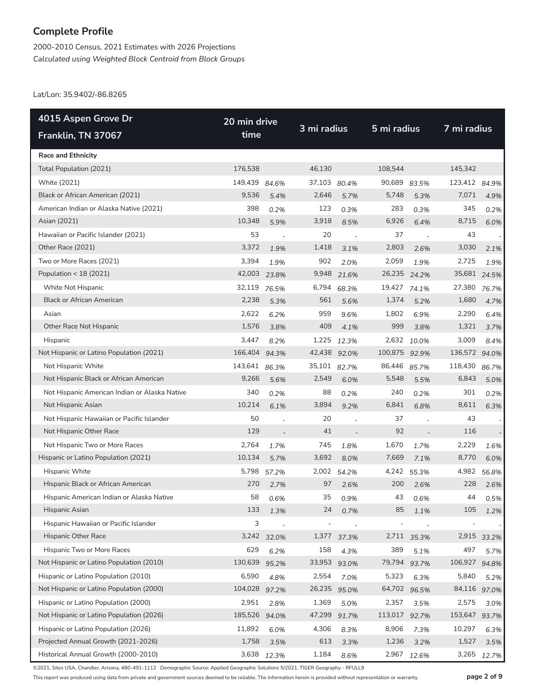2000-2010 Census, 2021 Estimates with 2026 Projections *Calculated using Weighted Block Centroid from Block Groups*

Lat/Lon: 35.9402/-86.8265

| 4015 Aspen Grove Dr                           | 20 min drive |                          |        |                          |         |             |         | 7 mi radius |  |  |
|-----------------------------------------------|--------------|--------------------------|--------|--------------------------|---------|-------------|---------|-------------|--|--|
| Franklin, TN 37067                            | time         |                          |        | 3 mi radius              |         | 5 mi radius |         |             |  |  |
| <b>Race and Ethnicity</b>                     |              |                          |        |                          |         |             |         |             |  |  |
| Total Population (2021)                       | 176,538      |                          | 46,130 |                          | 108,544 |             | 145,342 |             |  |  |
| White (2021)                                  | 149,439      | 84.6%                    | 37,103 | 80.4%                    | 90,689  | 83.5%       | 123,412 | 84.9%       |  |  |
| Black or African American (2021)              | 9,536        | 5.4%                     | 2,646  | 5.7%                     | 5,748   | 5.3%        | 7,071   | 4.9%        |  |  |
| American Indian or Alaska Native (2021)       | 398          | 0.2%                     | 123    | 0.3%                     | 283     | 0.3%        | 345     | 0.2%        |  |  |
| Asian (2021)                                  | 10,348       | 5.9%                     | 3,918  | 8.5%                     | 6,926   | 6.4%        | 8,715   | 6.0%        |  |  |
| Hawaiian or Pacific Islander (2021)           | 53           | $\overline{\phantom{a}}$ | 20     | $\overline{\phantom{a}}$ | 37      |             | 43      |             |  |  |
| Other Race (2021)                             | 3,372        | 1.9%                     | 1,418  | 3.1%                     | 2,803   | 2.6%        | 3,030   | 2.1%        |  |  |
| Two or More Races (2021)                      | 3,394        | 1.9%                     | 902    | 2.0%                     | 2,059   | 1.9%        | 2,725   | 1.9%        |  |  |
| Population < 18 (2021)                        | 42,003       | 23.8%                    | 9,948  | 21.6%                    | 26,235  | 24.2%       | 35,681  | 24.5%       |  |  |
| White Not Hispanic                            | 32,119       | 76.5%                    | 6,794  | 68.3%                    | 19,427  | 74.1%       | 27,380  | 76.7%       |  |  |
| <b>Black or African American</b>              | 2,238        | 5.3%                     | 561    | 5.6%                     | 1,374   | 5.2%        | 1,680   | 4.7%        |  |  |
| Asian                                         | 2,622        | 6.2%                     | 959    | 9.6%                     | 1,802   | 6.9%        | 2,290   | 6.4%        |  |  |
| Other Race Not Hispanic                       | 1,576        | 3.8%                     | 409    | 4.1%                     | 999     | 3.8%        | 1,321   | 3.7%        |  |  |
| Hispanic                                      | 3,447        | 8.2%                     | 1,225  | 12.3%                    | 2,632   | 10.0%       | 3,009   | 8.4%        |  |  |
| Not Hispanic or Latino Population (2021)      | 166,404      | 94.3%                    | 42,438 | 92.0%                    | 100,875 | 92.9%       | 136,572 | 94.0%       |  |  |
| Not Hispanic White                            | 143,641      | 86.3%                    | 35,101 | 82.7%                    | 86,446  | 85.7%       | 118,430 | 86.7%       |  |  |
| Not Hispanic Black or African American        | 9,266        | 5.6%                     | 2,549  | 6.0%                     | 5,548   | 5.5%        | 6,843   | 5.0%        |  |  |
| Not Hispanic American Indian or Alaska Native | 340          | 0.2%                     | 88     | 0.2%                     | 240     | 0.2%        | 301     | 0.2%        |  |  |
| Not Hispanic Asian                            | 10,214       | 6.1%                     | 3,894  | 9.2%                     | 6,841   | 6.8%        | 8,611   | 6.3%        |  |  |
| Not Hispanic Hawaiian or Pacific Islander     | 50           |                          | 20     |                          | 37      |             | 43      |             |  |  |
| Not Hispanic Other Race                       | 129          |                          | 41     |                          | 92      |             | 116     |             |  |  |
| Not Hispanic Two or More Races                | 2,764        | 1.7%                     | 745    | 1.8%                     | 1,670   | 1.7%        | 2,229   | 1.6%        |  |  |
| Hispanic or Latino Population (2021)          | 10,134       | 5.7%                     | 3,692  | 8.0%                     | 7,669   | 7.1%        | 8,770   | 6.0%        |  |  |
| Hispanic White                                | 5,798        | 57.2%                    | 2,002  | 54.2%                    | 4,242   | 55.3%       | 4,982   | 56.8%       |  |  |
| Hispanic Black or African American            | 270          | 2.7%                     | 97     | 2.6%                     | 200     | 2.6%        | 228     | 2.6%        |  |  |
| Hispanic American Indian or Alaska Native     | 58           | 0.6%                     | 35     | 0.9%                     | 43      | 0.6%        | 44      | 0.5%        |  |  |
| Hispanic Asian                                | 133          | 1.3%                     | 24     | 0.7%                     | 85      | 1.1%        | 105     | 1.2%        |  |  |
| Hispanic Hawaiian or Pacific Islander         | 3            |                          |        |                          |         |             |         |             |  |  |
| Hispanic Other Race                           | 3,242        | 32.0%                    | 1,377  | 37.3%                    | 2,711   | 35.3%       |         | 2,915 33.2% |  |  |
| Hispanic Two or More Races                    | 629          | 6.2%                     | 158    | 4.3%                     | 389     | 5.1%        | 497     | 5.7%        |  |  |
| Not Hispanic or Latino Population (2010)      | 130,639      | 95.2%                    | 33,953 | 93.0%                    | 79,794  | 93.7%       | 106,927 | 94.8%       |  |  |
| Hispanic or Latino Population (2010)          | 6,590        | 4.8%                     | 2,554  | 7.0%                     | 5,323   | 6.3%        | 5,840   | 5.2%        |  |  |
| Not Hispanic or Latino Population (2000)      | 104,028      | 97.2%                    | 26,235 | 95.0%                    | 64,702  | 96.5%       | 84,116  | 97.0%       |  |  |
| Hispanic or Latino Population (2000)          | 2,951        | 2.8%                     | 1,369  | 5.0%                     | 2,357   | 3.5%        | 2,575   | 3.0%        |  |  |
| Not Hispanic or Latino Population (2026)      | 185,526      | 94.0%                    | 47,299 | 91.7%                    | 113,017 | 92.7%       | 153,647 | 93.7%       |  |  |
| Hispanic or Latino Population (2026)          | 11,892       | 6.0%                     | 4,306  | 8.3%                     | 8,906   | 7.3%        | 10,297  | 6.3%        |  |  |
| Projected Annual Growth (2021-2026)           | 1,758        | 3.5%                     | 613    | 3.3%                     | 1,236   | 3.2%        | 1,527   | 3.5%        |  |  |
| Historical Annual Growth (2000-2010)          |              | 3,638 12.3%              | 1,184  | 8.6%                     |         | 2,967 12.6% | 3,265   | 12.7%       |  |  |

©2021, Sites USA, Chandler, Arizona, 480-491-1112 Demographic Source: Applied Geographic Solutions 5/2021, TIGER Geography - RFULL9

This report was produced using data from private and government sources deemed to be reliable. The information herein is provided without representation or warranty. **page 2 of 9**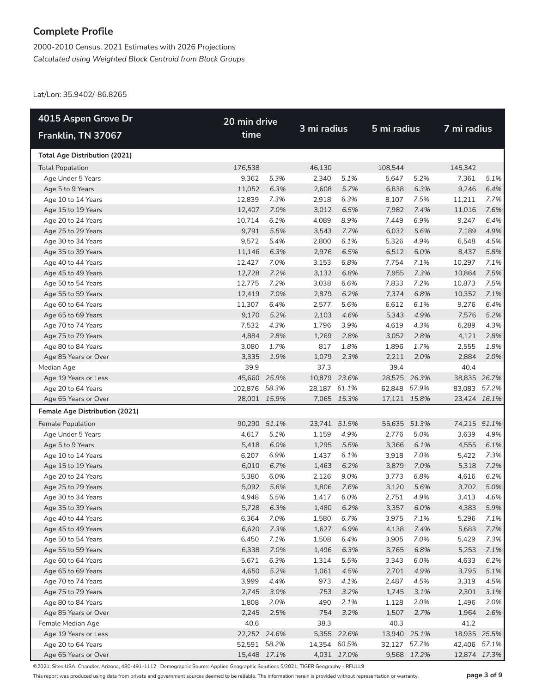2000-2010 Census, 2021 Estimates with 2026 Projections *Calculated using Weighted Block Centroid from Block Groups*

Lat/Lon: 35.9402/-86.8265

| 4015 Aspen Grove Dr                        | 20 min drive                 |       |              |             |              |             |              |              |
|--------------------------------------------|------------------------------|-------|--------------|-------------|--------------|-------------|--------------|--------------|
| Franklin, TN 37067                         | time                         |       | 3 mi radius  |             | 5 mi radius  |             | 7 mi radius  |              |
| <b>Total Age Distribution (2021)</b>       |                              |       |              |             |              |             |              |              |
| <b>Total Population</b>                    | 176,538                      |       | 46,130       |             | 108,544      |             | 145,342      |              |
| Age Under 5 Years                          | 9,362                        | 5.3%  | 2,340        | 5.1%        | 5,647        | 5.2%        | 7,361        | 5.1%         |
| Age 5 to 9 Years                           | 11,052                       | 6.3%  | 2,608        | 5.7%        | 6,838        | 6.3%        | 9,246        | 6.4%         |
| Age 10 to 14 Years                         | 12,839                       | 7.3%  | 2,918        | 6.3%        | 8,107        | 7.5%        | 11,211       | 7.7%         |
| Age 15 to 19 Years                         | 12,407                       | 7.0%  | 3,012        | 6.5%        | 7,982        | 7.4%        | 11,016       | 7.6%         |
| Age 20 to 24 Years                         | 10,714                       | 6.1%  | 4,089        | 8.9%        | 7,449        | 6.9%        | 9,247        | 6.4%         |
| Age 25 to 29 Years                         | 9,791                        | 5.5%  | 3,543        | 7.7%        | 6,032        | 5.6%        | 7,189        | 4.9%         |
| Age 30 to 34 Years                         | 9,572                        | 5.4%  | 2,800        | 6.1%        | 5,326        | 4.9%        | 6,548        | 4.5%         |
| Age 35 to 39 Years                         | 11,146                       | 6.3%  | 2,976        | 6.5%        | 6,512        | 6.0%        | 8,437        | 5.8%         |
| Age 40 to 44 Years                         | 12,427                       | 7.0%  | 3,153        | 6.8%        | 7,754        | 7.1%        | 10,297       | 7.1%         |
| Age 45 to 49 Years                         | 12,728                       | 7.2%  | 3,132        | 6.8%        | 7,955        | 7.3%        | 10,864       | 7.5%         |
| Age 50 to 54 Years                         | 12,775                       | 7.2%  | 3,038        | 6.6%        | 7,833        | 7.2%        | 10,873       | 7.5%         |
| Age 55 to 59 Years                         | 12,419                       | 7.0%  | 2,879        | 6.2%        | 7,374        | 6.8%        | 10,352       | 7.1%         |
| Age 60 to 64 Years                         | 11,307                       | 6.4%  | 2,577        | 5.6%        | 6,612        | 6.1%        | 9,276        | 6.4%         |
| Age 65 to 69 Years                         | 9,170                        | 5.2%  | 2,103        | 4.6%        | 5,343        | 4.9%        | 7,576        | 5.2%         |
| Age 70 to 74 Years                         | 7,532                        | 4.3%  | 1,796        | 3.9%        | 4,619        | 4.3%        | 6,289        | 4.3%         |
| Age 75 to 79 Years                         | 4,884                        | 2.8%  | 1,269        | 2.8%        | 3,052        | 2.8%        | 4,121        | 2.8%         |
| Age 80 to 84 Years                         | 3,080                        | 1.7%  | 817          | 1.8%        | 1,896        | 1.7%        | 2,555        | 1.8%         |
| Age 85 Years or Over                       | 3,335                        | 1.9%  | 1,079        | 2.3%        | 2,211        | 2.0%        | 2,884        | 2.0%         |
| Median Age                                 | 39.9                         |       | 37.3         |             | 39.4         |             | 40.4         |              |
| Age 19 Years or Less                       | 45,660 25.9%                 |       | 10,879 23.6% |             | 28,575 26.3% |             | 38,835 26.7% |              |
| Age 20 to 64 Years                         | 102,876 58.3%                |       | 28,187 61.1% |             | 62,848 57.9% |             | 83,083 57.2% |              |
| Age 65 Years or Over                       | 28,001 15.9%                 |       |              | 7,065 15.3% | 17,121 15.8% |             | 23,424 16.1% |              |
| <b>Female Age Distribution (2021)</b>      |                              |       |              |             |              |             |              |              |
| Female Population                          | 90,290                       | 51.1% | 23,741 51.5% |             | 55,635 51.3% |             | 74,215 51.1% |              |
| Age Under 5 Years                          | 4,617                        | 5.1%  | 1,159        | 4.9%        | 2,776        | 5.0%        | 3,639        | 4.9%         |
| Age 5 to 9 Years                           | 5,418                        | 6.0%  | 1,295        | 5.5%        | 3,366        | 6.1%        | 4,555        | 6.1%         |
| Age 10 to 14 Years                         | 6,207                        | 6.9%  | 1,437        | 6.1%        | 3,918        | 7.0%        | 5,422        | 7.3%         |
| Age 15 to 19 Years                         | 6,010                        | 6.7%  | 1,463        | 6.2%        | 3,879        | 7.0%        | 5,318        | 7.2%         |
| Age 20 to 24 Years                         | 5,380                        | 6.0%  | 2,126        | 9.0%        | 3,773        | 6.8%        | 4,616        | 6.2%         |
| Age 25 to 29 Years                         | 5,092                        | 5.6%  | 1,806        | 7.6%        | 3,120        | 5.6%        | 3,702        | 5.0%         |
| Age 30 to 34 Years                         | 4,948                        | 5.5%  | 1,417        | 6.0%        | 2,751        | 4.9%        | 3,413        | 4.6%         |
| Age 35 to 39 Years                         | 5,728                        | 6.3%  | 1,480        | 6.2%        | 3,357        | 6.0%        | 4,383        | 5.9%         |
| Age 40 to 44 Years                         | 6,364                        | 7.0%  | 1,580        | 6.7%        | 3,975        | 7.1%        | 5,296        | 7.1%         |
| Age 45 to 49 Years                         | 6,620                        | 7.3%  | 1,627        | 6.9%        | 4,138        | 7.4%        | 5,683        | 7.7%         |
| Age 50 to 54 Years                         | 6,450                        | 7.1%  | 1,508        | 6.4%        | 3,905        | 7.0%        | 5,429        | 7.3%         |
| Age 55 to 59 Years                         | 6,338                        | 7.0%  | 1,496        | 6.3%        | 3,765        | 6.8%        | 5,253        | 7.1%         |
| Age 60 to 64 Years                         | 5,671                        | 6.3%  | 1,314        | 5.5%        | 3,343        | 6.0%        | 4,633        | 6.2%         |
| Age 65 to 69 Years                         | 4,650                        | 5.2%  | 1,061        | 4.5%        | 2,701        | 4.9%        | 3,795        | 5.1%         |
| Age 70 to 74 Years                         | 3,999                        | 4.4%  | 973          | 4.1%        | 2,487        | 4.5%        | 3,319        | 4.5%         |
| Age 75 to 79 Years                         | 2,745                        | 3.0%  | 753          | 3.2%        | 1,745        | 3.1%        | 2,301        | 3.1%         |
| Age 80 to 84 Years                         | 1,808                        | 2.0%  | 490          | 2.1%        | 1,128        | 2.0%        | 1,496        | 2.0%         |
| Age 85 Years or Over                       | 2,245                        | 2.5%  | 754          | 3.2%        | 1,507        | 2.7%        | 1,964        | 2.6%         |
| Female Median Age                          | 40.6                         |       | 38.3         |             | 40.3         |             | 41.2         |              |
| Age 19 Years or Less                       | 22,252 24.6%                 |       |              | 5,355 22.6% | 13,940 25.1% |             | 18,935 25.5% |              |
| Age 20 to 64 Years<br>Age 65 Years or Over | 52,591 58.2%<br>15,448 17.1% |       | 14,354 60.5% | 4,031 17.0% | 32,127 57.7% | 9,568 17.2% | 42,406 57.1% | 12,874 17.3% |
|                                            |                              |       |              |             |              |             |              |              |

©2021, Sites USA, Chandler, Arizona, 480-491-1112 Demographic Source: Applied Geographic Solutions 5/2021, TIGER Geography - RFULL9

This report was produced using data from private and government sources deemed to be reliable. The information herein is provided without representation or warranty. **page 3 of 9**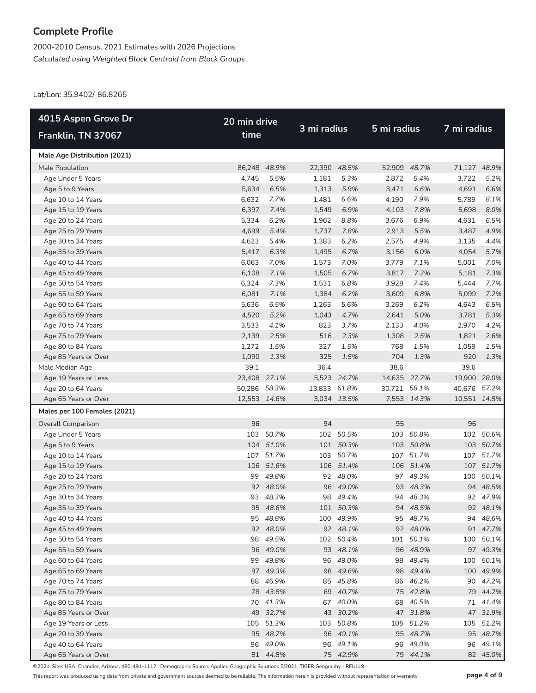2000-2010 Census, 2021 Estimates with 2026 Projections *Calculated using Weighted Block Centroid from Block Groups*

Lat/Lon: 35.9402/-86.8265

| 4015 Aspen Grove Dr          | 20 min drive |           |              |              |              |              |              |           |  |  |
|------------------------------|--------------|-----------|--------------|--------------|--------------|--------------|--------------|-----------|--|--|
| Franklin, TN 37067           | time         |           | 3 mi radius  |              | 5 mi radius  |              | 7 mi radius  |           |  |  |
| Male Age Distribution (2021) |              |           |              |              |              |              |              |           |  |  |
| Male Population              | 86,248 48.9% |           |              | 22,390 48.5% |              | 52,909 48.7% | 71,127 48.9% |           |  |  |
| Age Under 5 Years            | 4,745        | 5.5%      | 1,181        | 5.3%         | 2,872        | 5.4%         | 3,722        | 5.2%      |  |  |
| Age 5 to 9 Years             | 5,634        | 6.5%      | 1,313        | 5.9%         | 3,471        | 6.6%         | 4,691        | 6.6%      |  |  |
| Age 10 to 14 Years           | 6,632        | 7.7%      | 1,481        | 6.6%         | 4,190        | 7.9%         | 5,789        | 8.1%      |  |  |
| Age 15 to 19 Years           | 6,397        | 7.4%      | 1,549        | 6.9%         | 4,103        | 7.8%         | 5,698        | 8.0%      |  |  |
| Age 20 to 24 Years           | 5,334        | 6.2%      | 1,962        | 8.8%         | 3,676        | 6.9%         | 4,631        | 6.5%      |  |  |
| Age 25 to 29 Years           | 4,699        | 5.4%      | 1,737        | 7.8%         | 2,913        | 5.5%         | 3,487        | 4.9%      |  |  |
| Age 30 to 34 Years           | 4,623        | 5.4%      | 1,383        | 6.2%         | 2,575        | 4.9%         | 3,135        | 4.4%      |  |  |
| Age 35 to 39 Years           | 5,417        | 6.3%      | 1,495        | 6.7%         | 3,156        | 6.0%         | 4,054        | 5.7%      |  |  |
| Age 40 to 44 Years           | 6,063        | 7.0%      | 1,573        | 7.0%         | 3,779        | 7.1%         | 5,001        | 7.0%      |  |  |
| Age 45 to 49 Years           | 6,108        | 7.1%      | 1,505        | 6.7%         | 3,817        | 7.2%         | 5,181        | 7.3%      |  |  |
| Age 50 to 54 Years           | 6,324        | 7.3%      | 1,531        | 6.8%         | 3,928        | 7.4%         | 5,444        | 7.7%      |  |  |
| Age 55 to 59 Years           | 6,081        | 7.1%      | 1,384        | 6.2%         | 3,609        | 6.8%         | 5,099        | 7.2%      |  |  |
| Age 60 to 64 Years           | 5,636        | 6.5%      | 1,263        | 5.6%         | 3,269        | 6.2%         | 4,643        | 6.5%      |  |  |
| Age 65 to 69 Years           | 4,520        | 5.2%      | 1,043        | 4.7%         | 2,641        | 5.0%         | 3,781        | 5.3%      |  |  |
| Age 70 to 74 Years           | 3,533        | 4.1%      | 823          | 3.7%         | 2,133        | 4.0%         | 2,970        | 4.2%      |  |  |
| Age 75 to 79 Years           | 2,139        | 2.5%      | 516          | 2.3%         | 1,308        | 2.5%         | 1,821        | 2.6%      |  |  |
| Age 80 to 84 Years           | 1,272        | 1.5%      | 327          | 1.5%         | 768          | 1.5%         | 1,059        | 1.5%      |  |  |
| Age 85 Years or Over         | 1,090        | 1.3%      | 325          | 1.5%         | 704          | 1.3%         | 920          | 1.3%      |  |  |
| Male Median Age              | 39.1         |           | 36.4         |              | 38.6         |              | 39.6         |           |  |  |
| Age 19 Years or Less         | 23,408 27.1% |           |              | 5,523 24.7%  |              | 14,635 27.7% | 19,900 28.0% |           |  |  |
| Age 20 to 64 Years           | 50,286 58.3% |           | 13,833 61.8% |              | 30,721 58.1% |              | 40,676 57.2% |           |  |  |
| Age 65 Years or Over         | 12,553 14.6% |           |              | 3,034 13.5%  |              | 7,553 14.3%  | 10,551 14.8% |           |  |  |
| Males per 100 Females (2021) |              |           |              |              |              |              |              |           |  |  |
| <b>Overall Comparison</b>    | 96           |           | 94           |              | 95           |              | 96           |           |  |  |
| Age Under 5 Years            |              | 103 50.7% |              | 102 50.5%    | 103          | 50.8%        |              | 102 50.6% |  |  |
| Age 5 to 9 Years             |              | 104 51.0% |              | 101 50.3%    |              | 103 50.8%    |              | 103 50.7% |  |  |
| Age 10 to 14 Years           |              | 107 51.7% |              | 103 50.7%    | 107          | 51.7%        |              | 107 51.7% |  |  |
| Age 15 to 19 Years           |              | 106 51.6% |              | 106 51.4%    |              | 106 51.4%    |              | 107 51.7% |  |  |
| Age 20 to 24 Years           |              | 99 49.8%  |              | 92 48.0%     |              | 97 49.3%     |              | 100 50.1% |  |  |
| Age 25 to 29 Years           |              | 92 48.0%  |              | 96 49.0%     |              | 93 48.3%     |              | 94 48.5%  |  |  |
| Age 30 to 34 Years           |              | 93 48.3%  |              | 98 49.4%     |              | 94 48.3%     |              | 92 47.9%  |  |  |
| Age 35 to 39 Years           |              | 95 48.6%  |              | 101 50.3%    |              | 94 48.5%     |              | 92 48.1%  |  |  |
| Age 40 to 44 Years           |              | 95 48.8%  |              | 100 49.9%    |              | 95 48.7%     |              | 94 48.6%  |  |  |
| Age 45 to 49 Years           |              | 92 48.0%  |              | 92 48.1%     |              | 92 48.0%     |              | 91 47.7%  |  |  |
| Age 50 to 54 Years           |              | 98 49.5%  |              | 102 50.4%    |              | 101 50.1%    |              | 100 50.1% |  |  |
| Age 55 to 59 Years           |              | 96 49.0%  |              | 93 48.1%     |              | 96 48.9%     |              | 97 49.3%  |  |  |
| Age 60 to 64 Years           |              | 99 49.8%  |              | 96 49.0%     |              | 98 49.4%     |              | 100 50.1% |  |  |
| Age 65 to 69 Years           |              | 97 49.3%  |              | 98 49.6%     |              | 98 49.4%     |              | 100 49.9% |  |  |
| Age 70 to 74 Years           |              | 88 46.9%  |              | 85 45.8%     |              | 86 46.2%     |              | 90 47.2%  |  |  |
| Age 75 to 79 Years           |              | 78 43.8%  |              | 69 40.7%     |              | 75 42.8%     |              | 79 44.2%  |  |  |
| Age 80 to 84 Years           |              | 70 41.3%  |              | 67 40.0%     |              | 68 40.5%     |              | 71 41.4%  |  |  |
| Age 85 Years or Over         |              | 49 32.7%  |              | 43 30.2%     |              | 47 31.8%     |              | 47 31.9%  |  |  |
| Age 19 Years or Less         |              | 105 51.3% |              | 103 50.8%    |              | 105 51.2%    |              | 105 51.2% |  |  |
| Age 20 to 39 Years           |              | 95 48.7%  |              | 96 49.1%     |              | 95 48.7%     |              | 95 48.7%  |  |  |
| Age 40 to 64 Years           |              | 96 49.0%  |              | 96 49.1%     |              | 96 49.0%     |              | 96 49.1%  |  |  |
| Age 65 Years or Over         |              | 81 44.8%  |              | 75 42.9%     |              | 79 44.1%     |              | 82 45.0%  |  |  |

©2021, Sites USA, Chandler, Arizona, 480-491-1112 Demographic Source: Applied Geographic Solutions 5/2021, TIGER Geography - RFULL9

This report was produced using data from private and government sources deemed to be reliable. The information herein is provided without representation or warranty. **page 4 of 9**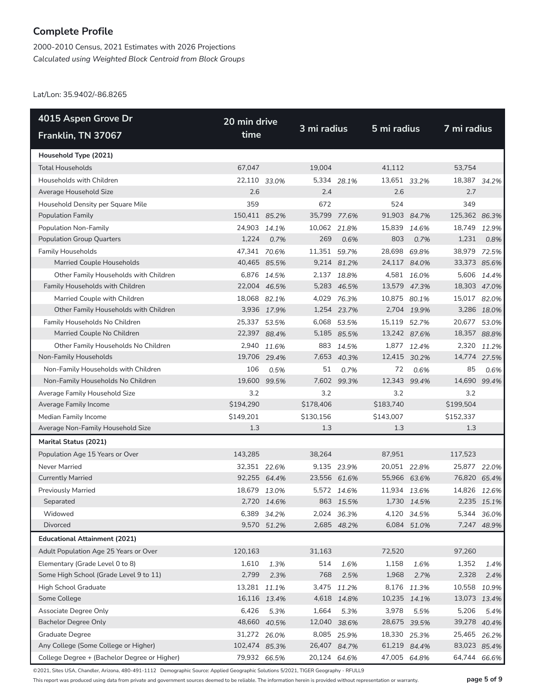2000-2010 Census, 2021 Estimates with 2026 Projections *Calculated using Weighted Block Centroid from Block Groups*

Lat/Lon: 35.9402/-86.8265

| 4015 Aspen Grove Dr                          | 20 min drive  |              |              |              |              |             |               |              |
|----------------------------------------------|---------------|--------------|--------------|--------------|--------------|-------------|---------------|--------------|
| Franklin, TN 37067                           | time          |              | 3 mi radius  |              | 5 mi radius  |             | 7 mi radius   |              |
| Household Type (2021)                        |               |              |              |              |              |             |               |              |
| <b>Total Households</b>                      | 67,047        |              | 19,004       |              | 41,112       |             | 53,754        |              |
| Households with Children                     | 22,110        | 33.0%        |              | 5,334 28.1%  | 13,651 33.2% |             | 18,387 34.2%  |              |
| Average Household Size                       | 2.6           |              | 2.4          |              | 2.6          |             | 2.7           |              |
| Household Density per Square Mile            | 359           |              | 672          |              | 524          |             | 349           |              |
| <b>Population Family</b>                     | 150,411 85.2% |              | 35,799 77.6% |              | 91,903 84.7% |             | 125,362 86.3% |              |
| Population Non-Family                        | 24,903        | 14.1%        | 10,062 21.8% |              | 15,839       | 14.6%       | 18,749        | 12.9%        |
| <b>Population Group Quarters</b>             | 1,224         | 0.7%         | 269          | 0.6%         | 803          | 0.7%        | 1,231         | 0.8%         |
| <b>Family Households</b>                     | 47,341 70.6%  |              | 11,351 59.7% |              | 28,698       | 69.8%       | 38,979        | 72.5%        |
| Married Couple Households                    |               | 40,465 85.5% |              | 9,214 81.2%  | 24,117 84.0% |             | 33,373 85.6%  |              |
| Other Family Households with Children        |               | 6,876 14.5%  |              | 2,137 18.8%  |              | 4,581 16.0% |               | 5,606 14.4%  |
| Family Households with Children              |               | 22,004 46.5% |              | 5,283 46.5%  | 13,579 47.3% |             | 18,303 47.0%  |              |
| Married Couple with Children                 | 18,068 82.1%  |              |              | 4,029 76.3%  | 10,875 80.1% |             | 15,017 82.0%  |              |
| Other Family Households with Children        |               | 3,936 17.9%  |              | 1,254 23.7%  |              | 2,704 19.9% |               | 3,286 18.0%  |
| Family Households No Children                | 25,337        | 53.5%        | 6,068        | 53.5%        | 15,119       | 52.7%       | 20,677        | 53.0%        |
| Married Couple No Children                   |               | 22,397 88.4% |              | 5,185 85.5%  | 13,242 87.6% |             | 18,357 88.8%  |              |
| Other Family Households No Children          | 2,940         | 11.6%        | 883          | 14.5%        |              | 1,877 12.4% | 2,320         | 11.2%        |
| Non-Family Households                        |               | 19,706 29.4% |              | 7,653 40.3%  | 12,415 30.2% |             | 14,774 27.5%  |              |
| Non-Family Households with Children          | 106           | 0.5%         | 51           | 0.7%         | 72           | 0.6%        | 85            | 0.6%         |
| Non-Family Households No Children            | 19,600        | 99.5%        |              | 7,602 99.3%  | 12,343 99.4% |             | 14,690 99.4%  |              |
| Average Family Household Size                | 3.2           |              | 3.2          |              | 3.2          |             | 3.2           |              |
| Average Family Income                        | \$194,290     |              | \$178,406    |              | \$183,740    |             | \$199,504     |              |
| Median Family Income                         | \$149,201     |              | \$130,156    |              | \$143,007    |             | \$152,337     |              |
| Average Non-Family Household Size            | 1.3           |              | 1.3          |              | 1.3          |             | 1.3           |              |
| <b>Marital Status (2021)</b>                 |               |              |              |              |              |             |               |              |
| Population Age 15 Years or Over              | 143,285       |              | 38,264       |              | 87,951       |             | 117,523       |              |
| Never Married                                | 32,351 22.6%  |              |              | 9,135 23.9%  | 20,051 22.8% |             | 25,877        | 22.0%        |
| <b>Currently Married</b>                     |               | 92,255 64.4% | 23,556 61.6% |              | 55,966 63.6% |             | 76,820 65.4%  |              |
| <b>Previously Married</b>                    | 18,679        | 13.0%        | 5,572        | 14.6%        | 11,934       | 13.6%       | 14,826        | 12.6%        |
| Separated                                    |               | 2,720 14.6%  |              | 863 15.5%    |              | 1,730 14.5% |               | 2,235 15.1%  |
| Widowed                                      |               | 6,389 34.2%  |              | 2,024 36.3%  |              | 4,120 34.5% | 5,344         | 36.0%        |
| Divorced                                     |               | 9,570 51.2%  |              | 2,685 48.2%  |              | 6,084 51.0% |               | 7,247 48.9%  |
| <b>Educational Attainment (2021)</b>         |               |              |              |              |              |             |               |              |
| Adult Population Age 25 Years or Over        | 120,163       |              | 31,163       |              | 72,520       |             | 97,260        |              |
| Elementary (Grade Level 0 to 8)              | 1,610         | 1.3%         | 514          | 1.6%         | 1,158        | 1.6%        | 1,352         | 1.4%         |
| Some High School (Grade Level 9 to 11)       | 2,799         | 2.3%         | 768          | 2.5%         | 1,968        | 2.7%        | 2,328         | 2.4%         |
| High School Graduate                         | 13,281        | 11.1%        | 3,475        | 11.2%        |              | 8,176 11.3% | 10,558        | 10.9%        |
| Some College                                 |               | 16,116 13.4% |              | 4,618 14.8%  | 10,235 14.1% |             | 13,073 13.4%  |              |
| Associate Degree Only                        | 6,426         | 5.3%         | 1,664        | 5.3%         | 3,978        | 5.5%        | 5,206         | 5.4%         |
| <b>Bachelor Degree Only</b>                  |               | 48,660 40.5% | 12,040       | 38.6%        | 28,675 39.5% |             |               | 39,278 40.4% |
| Graduate Degree                              | 31,272 26.0%  |              |              | 8,085 25.9%  | 18,330 25.3% |             | 25,465        | 26.2%        |
| Any College (Some College or Higher)         | 102,474 85.3% |              |              | 26,407 84.7% | 61,219 84.4% |             |               | 83,023 85.4% |
| College Degree + (Bachelor Degree or Higher) | 79,932 66.5%  |              | 20,124 64.6% |              | 47,005 64.8% |             | 64,744        | 66.6%        |

©2021, Sites USA, Chandler, Arizona, 480-491-1112 Demographic Source: Applied Geographic Solutions 5/2021, TIGER Geography - RFULL9

This report was produced using data from private and government sources deemed to be reliable. The information herein is provided without representation or warranty. **page 5 of 9**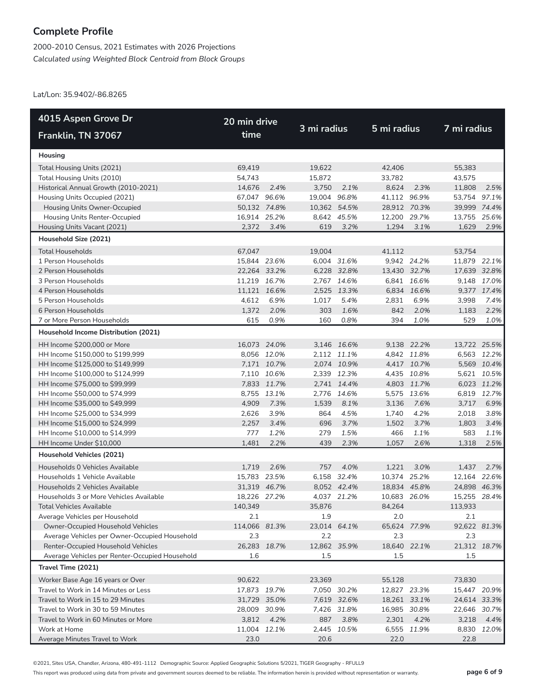2000-2010 Census, 2021 Estimates with 2026 Projections *Calculated using Weighted Block Centroid from Block Groups*

Lat/Lon: 35.9402/-86.8265

| 4015 Aspen Grove Dr                            | 20 min drive  |             |              |             |              |             |              |             |  |
|------------------------------------------------|---------------|-------------|--------------|-------------|--------------|-------------|--------------|-------------|--|
| Franklin, TN 37067                             | time          |             | 3 mi radius  |             | 5 mi radius  |             | 7 mi radius  |             |  |
| Housing                                        |               |             |              |             |              |             |              |             |  |
| Total Housing Units (2021)                     | 69,419        |             | 19,622       |             | 42,406       |             | 55,383       |             |  |
| Total Housing Units (2010)                     | 54,743        |             | 15,872       |             | 33,782       |             | 43,575       |             |  |
| Historical Annual Growth (2010-2021)           | 14,676        | 2.4%        | 3,750        | 2.1%        | 8,624        | 2.3%        | 11,808       | 2.5%        |  |
| Housing Units Occupied (2021)                  | 67,047 96.6%  |             | 19,004 96.8% |             | 41,112 96.9% |             | 53,754 97.1% |             |  |
| Housing Units Owner-Occupied                   | 50,132 74.8%  |             | 10,362 54.5% |             | 28,912 70.3% |             | 39,999 74.4% |             |  |
| Housing Units Renter-Occupied                  | 16,914 25.2%  |             |              | 8,642 45.5% | 12,200       | 29.7%       | 13,755       | 25.6%       |  |
| Housing Units Vacant (2021)                    | 2,372         | 3.4%        | 619          | 3.2%        | 1,294        | 3.1%        | 1,629        | 2.9%        |  |
| Household Size (2021)                          |               |             |              |             |              |             |              |             |  |
| <b>Total Households</b>                        | 67,047        |             | 19,004       |             | 41,112       |             | 53,754       |             |  |
| 1 Person Households                            | 15,844 23.6%  |             |              | 6,004 31.6% |              | 9,942 24.2% | 11,879 22.1% |             |  |
| 2 Person Households                            | 22,264 33.2%  |             |              | 6,228 32.8% | 13,430 32.7% |             | 17,639 32.8% |             |  |
| 3 Person Households                            | 11,219 16.7%  |             |              | 2,767 14.6% |              | 6,841 16.6% |              | 9,148 17.0% |  |
| 4 Person Households                            | 11,121 16.6%  |             |              | 2,525 13.3% |              | 6,834 16.6% |              | 9,377 17.4% |  |
| 5 Person Households                            | 4.612         | 6.9%        | 1,017        | 5.4%        | 2,831        | 6.9%        | 3,998        | 7.4%        |  |
| 6 Person Households                            | 1,372         | 2.0%        | 303          | 1.6%        | 842          | 2.0%        | 1,183        | 2.2%        |  |
| 7 or More Person Households                    | 615           | 0.9%        | 160          | 0.8%        | 394          | 1.0%        | 529          | 1.0%        |  |
| Household Income Distribution (2021)           |               |             |              |             |              |             |              |             |  |
| HH Income \$200,000 or More                    | 16,073 24.0%  |             |              | 3,146 16.6% |              | 9,138 22.2% | 13,722 25.5% |             |  |
| HH Income \$150,000 to \$199,999               |               | 8,056 12.0% |              | 2,112 11.1% |              | 4,842 11.8% |              | 6,563 12.2% |  |
| HH Income \$125,000 to \$149,999               |               | 7,171 10.7% |              | 2,074 10.9% |              | 4,417 10.7% |              | 5,569 10.4% |  |
| HH Income \$100,000 to \$124,999               |               | 7,110 10.6% |              | 2,339 12.3% |              | 4,435 10.8% |              | 5,621 10.5% |  |
| HH Income \$75,000 to \$99,999                 |               | 7,833 11.7% |              | 2,741 14.4% |              | 4,803 11.7% |              | 6,023 11.2% |  |
| HH Income \$50,000 to \$74,999                 |               | 8,755 13.1% |              | 2,776 14.6% |              | 5,575 13.6% |              | 6,819 12.7% |  |
| HH Income \$35,000 to \$49,999                 | 4,909         | 7.3%        | 1,539        | 8.1%        | 3,136        | 7.6%        | 3,717        | 6.9%        |  |
| HH Income \$25,000 to \$34,999                 | 2,626         | 3.9%        | 864          | 4.5%        | 1,740        | 4.2%        | 2,018        | 3.8%        |  |
| HH Income \$15,000 to \$24,999                 | 2,257         | 3.4%        | 696          | 3.7%        | 1,502        | 3.7%        | 1,803        | 3.4%        |  |
| HH Income \$10,000 to \$14,999                 | 777           | 1.2%        | 279          | 1.5%        | 466          | 1.1%        | 583          | 1.1%        |  |
| HH Income Under \$10,000                       | 1,481         | 2.2%        | 439          | 2.3%        | 1,057        | 2.6%        | 1,318        | 2.5%        |  |
| Household Vehicles (2021)                      |               |             |              |             |              |             |              |             |  |
| Households 0 Vehicles Available                | 1,719         | 2.6%        | 757          | 4.0%        | 1,221        | 3.0%        | 1,437        | 2.7%        |  |
| Households 1 Vehicle Available                 | 15,783 23.5%  |             |              | 6,158 32.4% | 10,374 25.2% |             | 12,164 22.6% |             |  |
| Households 2 Vehicles Available                | 31,319 46.7%  |             |              | 8,052 42.4% | 18,834 45.8% |             | 24,898 46.3% |             |  |
| Households 3 or More Vehicles Available        | 18,226 27.2%  |             |              | 4,037 21.2% | 10,683 26.0% |             | 15,255 28.4% |             |  |
| Total Vehicles Available                       | 140,349       |             | 35,876       |             | 84,264       |             | 113,933      |             |  |
| Average Vehicles per Household                 | 2.1           |             | 1.9          |             | 2.0          |             | 2.1          |             |  |
| Owner-Occupied Household Vehicles              | 114,066 81.3% |             | 23,014 64.1% |             | 65,624 77.9% |             | 92,622 81.3% |             |  |
| Average Vehicles per Owner-Occupied Household  | 2.3           |             | 2.2          |             | 2.3          |             | 2.3          |             |  |
| Renter-Occupied Household Vehicles             | 26,283        | 18.7%       | 12,862 35.9% |             | 18,640 22.1% |             | 21,312 18.7% |             |  |
| Average Vehicles per Renter-Occupied Household | 1.6           |             | 1.5          |             | 1.5          |             | 1.5          |             |  |
| Travel Time (2021)                             |               |             |              |             |              |             |              |             |  |
| Worker Base Age 16 years or Over               | 90,622        |             | 23,369       |             | 55,128       |             | 73,830       |             |  |
| Travel to Work in 14 Minutes or Less           | 17,873 19.7%  |             |              | 7,050 30.2% | 12,827 23.3% |             | 15,447 20.9% |             |  |
| Travel to Work in 15 to 29 Minutes             | 31,729 35.0%  |             |              | 7,619 32.6% | 18,261 33.1% |             | 24,614 33.3% |             |  |
| Travel to Work in 30 to 59 Minutes             | 28,009 30.9%  |             |              | 7,426 31.8% | 16,985 30.8% |             | 22,646 30.7% |             |  |
| Travel to Work in 60 Minutes or More           | 3,812         | 4.2%        | 887          | 3.8%        | 2,301        | 4.2%        | 3,218        | 4.4%        |  |
| Work at Home                                   | 11,004 12.1%  |             |              | 2,445 10.5% |              | 6,555 11.9% |              | 8,830 12.0% |  |
| Average Minutes Travel to Work                 | 23.0          |             | 20.6         |             | 22.0         |             | 22.8         |             |  |

©2021, Sites USA, Chandler, Arizona, 480-491-1112 Demographic Source: Applied Geographic Solutions 5/2021, TIGER Geography - RFULL9

This report was produced using data from private and government sources deemed to be reliable. The information herein is provided without representation or warranty. **page 6 of 9**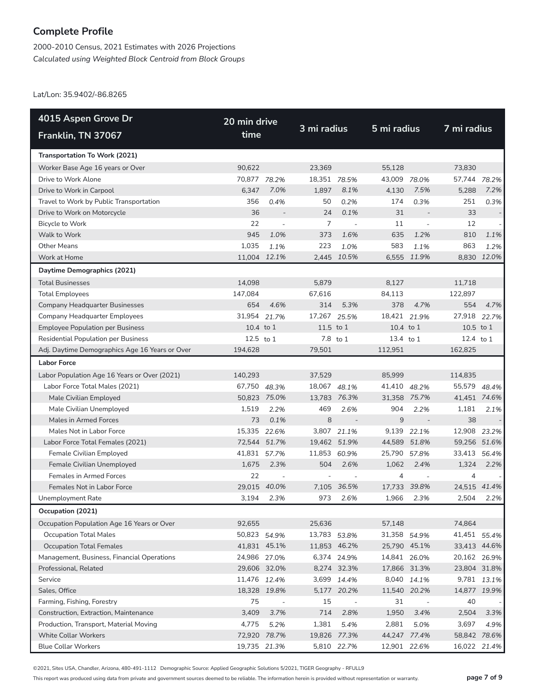2000-2010 Census, 2021 Estimates with 2026 Projections *Calculated using Weighted Block Centroid from Block Groups*

Lat/Lon: 35.9402/-86.8265

| 4015 Aspen Grove Dr                            | 20 min drive |                          | 3 mi radius    |                          | 5 mi radius  |                          |                |              |  |
|------------------------------------------------|--------------|--------------------------|----------------|--------------------------|--------------|--------------------------|----------------|--------------|--|
| Franklin, TN 37067                             | time         |                          |                |                          |              |                          | 7 mi radius    |              |  |
| Transportation To Work (2021)                  |              |                          |                |                          |              |                          |                |              |  |
| Worker Base Age 16 years or Over               | 90,622       |                          | 23.369         |                          | 55,128       |                          | 73.830         |              |  |
| Drive to Work Alone                            | 70,877 78.2% |                          | 18,351 78.5%   |                          | 43,009 78.0% |                          | 57,744         | 78.2%        |  |
| Drive to Work in Carpool                       | 6,347        | 7.0%                     | 1,897          | 8.1%                     | 4,130        | 7.5%                     | 5,288          | 7.2%         |  |
| Travel to Work by Public Transportation        | 356          | 0.4%                     | 50             | 0.2%                     | 174          | 0.3%                     | 251            | 0.3%         |  |
| Drive to Work on Motorcycle                    | 36           | $\overline{\phantom{a}}$ | 24             | 0.1%                     | 31           | $\overline{\phantom{a}}$ | 33             |              |  |
| Bicycle to Work                                | 22           | $\overline{a}$           | $\overline{7}$ | $\sim$                   | 11           | $\overline{a}$           | 12             |              |  |
| Walk to Work                                   | 945          | 1.0%                     | 373            | 1.6%                     | 635          | 1.2%                     | 810            | 1.1%         |  |
| <b>Other Means</b>                             | 1,035        | 1.1%                     | 223            | 1.0%                     | 583          | 1.1%                     | 863            | 1.2%         |  |
| Work at Home                                   | 11,004 12.1% |                          |                | 2,445 10.5%              |              | 6,555 11.9%              |                | 8,830 12.0%  |  |
| Daytime Demographics (2021)                    |              |                          |                |                          |              |                          |                |              |  |
| <b>Total Businesses</b>                        | 14,098       |                          | 5,879          |                          | 8,127        |                          | 11,718         |              |  |
| <b>Total Employees</b>                         | 147,084      |                          | 67,616         |                          | 84,113       |                          | 122,897        |              |  |
| <b>Company Headquarter Businesses</b>          | 654          | 4.6%                     | 314            | 5.3%                     | 378          | 4.7%                     | 554            | 4.7%         |  |
| Company Headquarter Employees                  | 31,954       | 21.7%                    | 17,267         | 25.5%                    | 18,421       | 21.9%                    | 27,918 22.7%   |              |  |
| <b>Employee Population per Business</b>        | 10.4 to 1    |                          | $11.5$ to $1$  |                          | 10.4 to 1    |                          | 10.5 to 1      |              |  |
| <b>Residential Population per Business</b>     | 12.5 to 1    |                          |                | 7.8 to 1                 | 13.4 to 1    |                          | 12.4 to 1      |              |  |
| Adj. Daytime Demographics Age 16 Years or Over | 194,628      |                          | 79,501         |                          | 112,951      |                          | 162,825        |              |  |
| <b>Labor Force</b>                             |              |                          |                |                          |              |                          |                |              |  |
| Labor Population Age 16 Years or Over (2021)   | 140,293      |                          | 37,529         |                          | 85,999       |                          | 114,835        |              |  |
| Labor Force Total Males (2021)                 | 67,750 48.3% |                          | 18,067 48.1%   |                          | 41,410 48.2% |                          | 55,579         | 48.4%        |  |
| Male Civilian Employed                         | 50,823 75.0% |                          | 13,783 76.3%   |                          |              | 31,358 75.7%             | 41,451 74.6%   |              |  |
| Male Civilian Unemployed                       | 1,519        | 2.2%                     | 469            | 2.6%                     | 904          | 2.2%                     | 1,181          | 2.1%         |  |
| Males in Armed Forces                          | 73           | 0.1%                     | 8              | $\overline{\phantom{a}}$ | 9            |                          | 38             |              |  |
| Males Not in Labor Force                       | 15,335 22.6% |                          |                | 3,807 21.1%              | 9,139        | 22.1%                    | 12,908         | 23.2%        |  |
| Labor Force Total Females (2021)               | 72,544       | 51.7%                    |                | 19,462 51.9%             | 44,589       | 51.8%                    | 59,256 51.6%   |              |  |
| Female Civilian Employed                       | 41,831       | 57.7%                    | 11,853 60.9%   |                          | 25,790       | 57.8%                    | 33,413         | 56.4%        |  |
| Female Civilian Unemployed                     | 1,675        | 2.3%                     | 504            | 2.6%                     | 1,062        | 2.4%                     | 1,324          | 2.2%         |  |
| Females in Armed Forces                        | 22           | $\overline{\phantom{a}}$ |                | $\overline{a}$           | 4            | $\overline{\phantom{a}}$ | $\overline{4}$ |              |  |
| Females Not in Labor Force                     | 29,015       | 40.0%                    | 7,105          | 36.5%                    |              | 17.733 39.8%             | 24,515         | 41.4%        |  |
| Unemployment Rate                              | 3,194        | 2.3%                     | 973            | 2.6%                     | 1,966        | 2.3%                     | 2,504          | 2.2%         |  |
| Occupation (2021)                              |              |                          |                |                          |              |                          |                |              |  |
| Occupation Population Age 16 Years or Over     | 92,655       |                          | 25,636         |                          | 57,148       |                          | 74,864         |              |  |
| <b>Occupation Total Males</b>                  | 50,823 54.9% |                          | 13,783 53.8%   |                          |              | 31,358 54.9%             | 41,451 55.4%   |              |  |
| <b>Occupation Total Females</b>                |              | 41,831 45.1%             |                | 11,853 46.2%             |              | 25,790 45.1%             |                | 33,413 44.6% |  |
| Management, Business, Financial Operations     | 24,986 27.0% |                          |                | 6,374 24.9%              |              | 14,841 26.0%             | 20,162 26.9%   |              |  |
| Professional, Related                          |              | 29,606 32.0%             |                | 8,274 32.3%              |              | 17,866 31.3%             | 23,804 31.8%   |              |  |
| Service                                        | 11,476 12.4% |                          | 3,699          | 14.4%                    | 8,040        | 14.1%                    | 9,781          | 13.1%        |  |
| Sales, Office                                  |              | 18,328 19.8%             |                | 5,177 20.2%              |              | 11,540 20.2%             | 14,877 19.9%   |              |  |
| Farming, Fishing, Forestry                     | 75           | $\overline{\phantom{a}}$ | 15             | $\sim$                   | 31           | $\overline{\phantom{a}}$ | 40             |              |  |
| Construction, Extraction, Maintenance          | 3,409        | 3.7%                     | 714            | 2.8%                     | 1,950        | 3.4%                     | 2,504          | 3.3%         |  |
| Production, Transport, Material Moving         | 4,775        | 5.2%                     | 1,381          | 5.4%                     | 2,881        | 5.0%                     | 3,697          | 4.9%         |  |
| <b>White Collar Workers</b>                    | 72,920       | 78.7%                    |                | 19,826 77.3%             |              | 44,247 77.4%             |                | 58,842 78.6% |  |
| <b>Blue Collar Workers</b>                     | 19,735 21.3% |                          |                | 5,810 22.7%              |              | 12,901 22.6%             | 16,022 21.4%   |              |  |

©2021, Sites USA, Chandler, Arizona, 480-491-1112 Demographic Source: Applied Geographic Solutions 5/2021, TIGER Geography - RFULL9

This report was produced using data from private and government sources deemed to be reliable. The information herein is provided without representation or warranty. **page 7 of 9**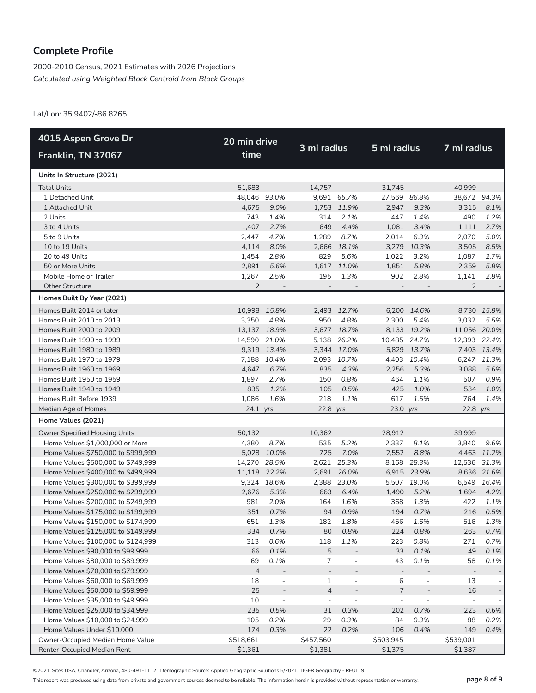2000-2010 Census, 2021 Estimates with 2026 Projections *Calculated using Weighted Block Centroid from Block Groups*

Lat/Lon: 35.9402/-86.8265

| 4015 Aspen Grove Dr                  | 20 min drive   |                          |                          | 3 mi radius              |                          | 5 mi radius    |                          | 7 mi radius |  |
|--------------------------------------|----------------|--------------------------|--------------------------|--------------------------|--------------------------|----------------|--------------------------|-------------|--|
| Franklin, TN 37067                   | time           |                          |                          |                          |                          |                |                          |             |  |
| Units In Structure (2021)            |                |                          |                          |                          |                          |                |                          |             |  |
| <b>Total Units</b>                   | 51,683         |                          | 14,757                   |                          | 31,745                   |                | 40.999                   |             |  |
| 1 Detached Unit                      | 48,046 93.0%   |                          |                          | 9,691 65.7%              | 27,569                   | 86.8%          | 38,672 94.3%             |             |  |
| 1 Attached Unit                      | 4,675          | 9.0%                     |                          | 1,753 11.9%              | 2,947                    | 9.3%           | 3,315                    | 8.1%        |  |
| 2 Units                              | 743            | 1.4%                     | 314                      | 2.1%                     | 447                      | 1.4%           | 490                      | 1.2%        |  |
| 3 to 4 Units                         | 1,407          | 2.7%                     | 649                      | 4.4%                     | 1,081                    | 3.4%           | 1,111                    | 2.7%        |  |
| 5 to 9 Units                         | 2,447          | 4.7%                     | 1,289                    | 8.7%                     | 2,014                    | 6.3%           | 2,070                    | 5.0%        |  |
| 10 to 19 Units                       | 4,114          | 8.0%                     | 2,666                    | 18.1%                    |                          | 3,279 10.3%    | 3,505                    | 8.5%        |  |
| 20 to 49 Units                       | 1,454          | 2.8%                     | 829                      | 5.6%                     | 1,022                    | 3.2%           | 1,087                    | 2.7%        |  |
| 50 or More Units                     | 2,891          | 5.6%                     |                          | 1,617 11.0%              | 1,851                    | 5.8%           | 2,359                    | 5.8%        |  |
| Mobile Home or Trailer               | 1,267          | 2.5%                     | 195                      | 1.3%                     | 902                      | 2.8%           | 1,141                    | 2.8%        |  |
| <b>Other Structure</b>               | $\overline{2}$ |                          | $\overline{\phantom{a}}$ | $\overline{\phantom{a}}$ | $\overline{\phantom{a}}$ |                | $\overline{2}$           |             |  |
| Homes Built By Year (2021)           |                |                          |                          |                          |                          |                |                          |             |  |
| Homes Built 2014 or later            | 10,998         | 15.8%                    |                          | 2,493 12.7%              |                          | 6,200 14.6%    |                          | 8,730 15.8% |  |
| Homes Built 2010 to 2013             | 3,350          | 4.8%                     | 950                      | 4.8%                     | 2,300                    | 5.4%           | 3,032                    | 5.5%        |  |
| Homes Built 2000 to 2009             | 13,137 18.9%   |                          |                          | 3,677 18.7%              |                          | 8,133 19.2%    | 11,056 20.0%             |             |  |
| Homes Built 1990 to 1999             | 14,590         | 21.0%                    |                          | 5,138 26.2%              | 10,485 24.7%             |                | 12,393 22.4%             |             |  |
| Homes Built 1980 to 1989             |                | 9,319 13.4%              |                          | 3,344 17.0%              |                          | 5,829 13.7%    |                          | 7,403 13.4% |  |
| Homes Built 1970 to 1979             | 7,188          | 10.4%                    |                          | 2,093 10.7%              |                          | 4,403 10.4%    |                          | 6,247 11.3% |  |
| Homes Built 1960 to 1969             | 4,647          | 6.7%                     | 835                      | 4.3%                     | 2,256                    | 5.3%           | 3,088                    | 5.6%        |  |
| Homes Built 1950 to 1959             | 1,897          | 2.7%                     | 150                      | 0.8%                     | 464                      | 1.1%           | 507                      | 0.9%        |  |
| Homes Built 1940 to 1949             | 835            | 1.2%                     | 105                      | 0.5%                     | 425                      | 1.0%           | 534                      | 1.0%        |  |
| Homes Built Before 1939              | 1,086          | 1.6%                     | 218                      | 1.1%                     | 617                      | 1.5%           | 764                      | 1.4%        |  |
| Median Age of Homes                  | 24.1 yrs       |                          | 22.8 yrs                 |                          | 23.0 yrs                 |                | 22.8 yrs                 |             |  |
| Home Values (2021)                   |                |                          |                          |                          |                          |                |                          |             |  |
| <b>Owner Specified Housing Units</b> | 50,132         |                          | 10,362                   |                          | 28,912                   |                | 39,999                   |             |  |
| Home Values \$1,000,000 or More      | 4,380          | 8.7%                     | 535                      | 5.2%                     | 2,337                    | 8.1%           | 3,840                    | 9.6%        |  |
| Home Values \$750,000 to \$999,999   | 5,028          | 10.0%                    | 725                      | 7.0%                     | 2,552                    | 8.8%           |                          | 4,463 11.2% |  |
| Home Values \$500,000 to \$749,999   | 14,270 28.5%   |                          |                          | 2,621 25.3%              | 8,168                    | 28.3%          | 12,536 31.3%             |             |  |
| Home Values \$400,000 to \$499,999   |                | 11,118 22.2%             |                          | 2,691 26.0%              |                          | 6,915 23.9%    |                          | 8,636 21.6% |  |
| Home Values \$300,000 to \$399,999   |                | 9,324 18.6%              |                          | 2,388 23.0%              |                          | 5,507 19.0%    |                          | 6,549 16.4% |  |
| Home Values \$250,000 to \$299,999   | 2,676          | 5.3%                     | 663                      | 6.4%                     | 1,490                    | 5.2%           | 1,694                    | 4.2%        |  |
| Home Values \$200,000 to \$249,999   | 981            | 2.0%                     | 164                      | 1.6%                     | 368                      | 1.3%           | 422                      | 1.1%        |  |
| Home Values \$175,000 to \$199,999   | 351            | 0.7%                     | 94                       | 0.9%                     | 194                      | 0.7%           | 216                      | 0.5%        |  |
| Home Values \$150,000 to \$174,999   | 651            | 1.3%                     | 182                      | 1.8%                     | 456                      | 1.6%           | 516                      | 1.3%        |  |
| Home Values \$125,000 to \$149,999   | 334            | 0.7%                     | 80                       | 0.8%                     | 224                      | 0.8%           | 263                      | 0.7%        |  |
| Home Values \$100,000 to \$124,999   | 313            | 0.6%                     | 118                      | 1.1%                     | 223                      | 0.8%           | 271                      | 0.7%        |  |
| Home Values \$90,000 to \$99,999     | 66             | 0.1%                     | 5                        |                          | 33                       | 0.1%           | 49                       | $0.1\%$     |  |
| Home Values \$80,000 to \$89,999     | 69             | 0.1%                     | 7                        |                          | 43                       | 0.1%           | 58                       | 0.1%        |  |
| Home Values \$70,000 to \$79,999     | $\overline{4}$ |                          |                          |                          | $\overline{\phantom{m}}$ |                |                          |             |  |
| Home Values \$60,000 to \$69,999     | 18             | $\overline{\phantom{a}}$ | $\mathbf{1}$             | $\overline{a}$           | 6                        | $\overline{a}$ | 13                       |             |  |
| Home Values \$50,000 to \$59,999     | 25             |                          | $\overline{4}$           |                          | $\boldsymbol{7}$         |                | 16                       |             |  |
| Home Values \$35,000 to \$49,999     | 10             | $\overline{\phantom{a}}$ | $\overline{\phantom{a}}$ | $\overline{a}$           | $\overline{\phantom{a}}$ | $\overline{a}$ | $\overline{\phantom{a}}$ |             |  |
| Home Values \$25,000 to \$34,999     | 235            | 0.5%                     | 31                       | 0.3%                     | 202                      | 0.7%           | 223                      | 0.6%        |  |
| Home Values \$10,000 to \$24,999     | 105            | 0.2%                     | 29                       | 0.3%                     | 84                       | 0.3%           | 88                       | 0.2%        |  |
| Home Values Under \$10,000           | 174            | 0.3%                     | 22                       | 0.2%                     | 106                      | 0.4%           | 149                      | 0.4%        |  |
| Owner-Occupied Median Home Value     | \$518,661      |                          | \$457,560                |                          | \$503,945                |                | \$539,001                |             |  |
| Renter-Occupied Median Rent          | \$1,361        |                          | \$1,381                  |                          | \$1,375                  |                | \$1,387                  |             |  |

©2021, Sites USA, Chandler, Arizona, 480-491-1112 Demographic Source: Applied Geographic Solutions 5/2021, TIGER Geography - RFULL9

This report was produced using data from private and government sources deemed to be reliable. The information herein is provided without representation or warranty. **page 8 of 9**